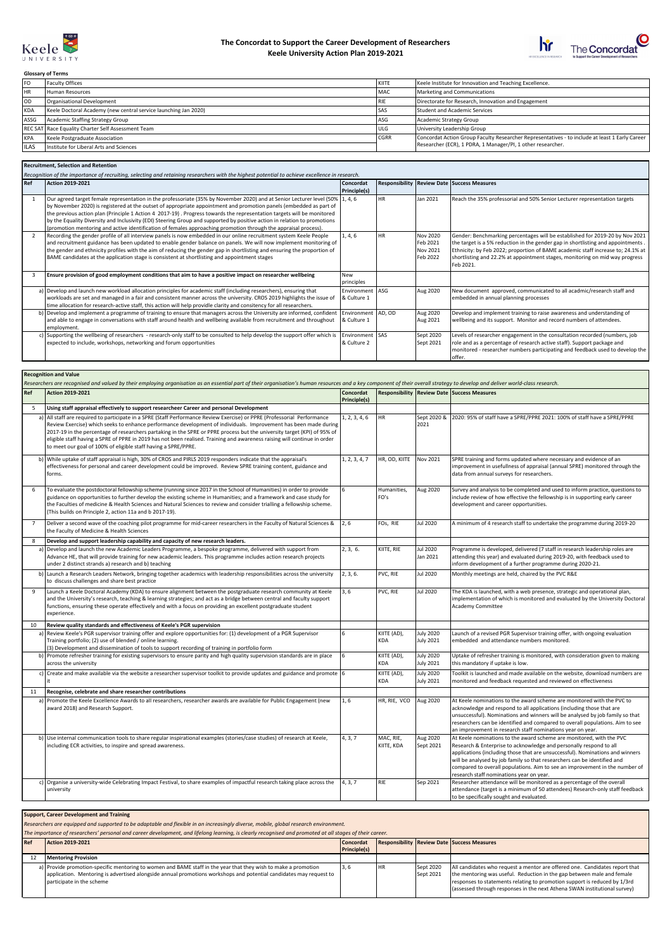

## **The Concordat to Support the Career Development of Researchers Keele University Action Plan 2019-2021**



٦

**Glossary of Terms**

| l FO        | Faculty Offices                                                 | KIITE       | Keele Institute for Innovation and Teaching Excellence.                                        |
|-------------|-----------------------------------------------------------------|-------------|------------------------------------------------------------------------------------------------|
| <b>HR</b>   | Human Resources                                                 | <b>MAC</b>  | Marketing and Communications                                                                   |
| l OD.       | Organisational Development                                      | l RIE       | Directorate for Research, Innovation and Engagement                                            |
| KDA         | Keele Doctoral Academy (new central service launching Jan 2020) | <b>ISA</b>  | Student and Academic Services                                                                  |
| ASSG        | Academic Staffing Strategy Group                                | ASG         | Academic Strategy Group                                                                        |
|             | REC SAT Race Equality Charter Self Assessment Team              | <b>ULG</b>  | University Leadership Group                                                                    |
| KPA         | Keele Postgraduate Association                                  | <b>CGRR</b> | Concordat Action Group Faculty Researcher Representatives - to include at least 1 Early Career |
| <b>ILAS</b> | Institute for Liberal Arts and Sciences                         |             | Researcher (ECR), 1 PDRA, 1 Manager/PI, 1 other researcher.                                    |

## **Recruitment, Selection and Retention**

|       | ייכני טונוווכוונ, טכוכננוטוו טווט ויכנכוונוטוו<br>Recognition of the importance of recruiting, selecting and retaining researchers with the highest potential to achieve excellence in research.                                                                                                                                                                                                                                                                                                                                                                                                                              |                                  |           |                                              |                                                                                                                                                                                                                                                                                                                                                  |  |  |  |
|-------|-------------------------------------------------------------------------------------------------------------------------------------------------------------------------------------------------------------------------------------------------------------------------------------------------------------------------------------------------------------------------------------------------------------------------------------------------------------------------------------------------------------------------------------------------------------------------------------------------------------------------------|----------------------------------|-----------|----------------------------------------------|--------------------------------------------------------------------------------------------------------------------------------------------------------------------------------------------------------------------------------------------------------------------------------------------------------------------------------------------------|--|--|--|
| l Ref | Action 2019-2021                                                                                                                                                                                                                                                                                                                                                                                                                                                                                                                                                                                                              | Concordat<br>Principle(s)        |           |                                              | Responsibility   Review Date   Success Measures                                                                                                                                                                                                                                                                                                  |  |  |  |
|       | Our agreed target female representation in the professoriate (35% by November 2020) and at Senior Lecturer level (50% 1, 4, 6<br>by November 2020) is registered at the outset of appropriate appointment and promotion panels (embedded as part of<br>the previous action plan (Principle 1 Action 4 2017-19). Progress towards the representation targets will be monitored<br>by the Equality Diversity and Inclusivity (EDI) Steering Group and supported by positive action in relation to promotions<br>(promotion mentoring and active identification of females approaching promotion through the appraisal process). |                                  | <b>HR</b> | Jan 2021                                     | Reach the 35% professorial and 50% Senior Lecturer representation targets                                                                                                                                                                                                                                                                        |  |  |  |
|       | Recording the gender profile of all interview panels is now embedded in our online recruitment system Keele People<br>and recruitment guidance has been updated to enable gender balance on panels. We will now implement monitoring of<br>the gender and ethnicity profiles with the aim of reducing the gender gap in shortlisting and ensuring the proportion of<br>BAME candidates at the application stage is consistent at shortlisting and appointment stages                                                                                                                                                          | 1, 4, 6                          | <b>HR</b> | Nov 2020<br>Feb 2021<br>Nov 2021<br>Feb 2022 | Gender: Benchmarking percentages will be established for 2019-20 by Nov 2021<br>the target is a 5% reduction in the gender gap in shortlisting and appointments.<br>Ethnicity: by Feb 2022; proportion of BAME academic staff increase to; 24.1% at<br>shortlisting and 22.2% at appointment stages, monitoring on mid way progress<br>Feb 2021. |  |  |  |
|       | Ensure provision of good employment conditions that aim to have a positive impact on researcher wellbeing                                                                                                                                                                                                                                                                                                                                                                                                                                                                                                                     | l New<br>principles              |           |                                              |                                                                                                                                                                                                                                                                                                                                                  |  |  |  |
|       | a) Develop and launch new workload allocation principles for academic staff (including researchers), ensuring that<br>workloads are set and managed in a fair and consistent manner across the university. CROS 2019 highlights the issue of<br>time allocation for research-active staff, this action will help providle clarity and consitency for all researchers.                                                                                                                                                                                                                                                         | Environment<br>8 Culture 1       | l ASG-    | Aug 2020                                     | New document approved, communicated to all acadmic/research staff and<br>embedded in annual planning processes                                                                                                                                                                                                                                   |  |  |  |
|       | b) Develop and implement a programme of training to ensure that managers across the University are informed, confident<br>and able to engage in conversations with staff around health and wellbeing available from recruitment and throughout<br>employment.                                                                                                                                                                                                                                                                                                                                                                 | Environment<br>& Culture 1       | AD, OD    | Aug 2020<br>Aug 2021                         | Develop and implement training to raise awareness and understanding of<br>wellbeing and its support. Monitor and record numbers of attendees.                                                                                                                                                                                                    |  |  |  |
|       | c) Supporting the wellbeing of researchers - research-only staff to be consulted to help develop the support offer which is<br>expected to include, workshops, networking and forum opportunities                                                                                                                                                                                                                                                                                                                                                                                                                             | Environment   SAS<br>& Culture 2 |           | Sept 2020<br>Sept 2021                       | Levels of researcher engagement in the consultation recorded (numbers, job<br>role and as a percentage of research active staff). Support package and<br>monitored - researcher numbers participating and feedback used to develop the<br>offer.                                                                                                 |  |  |  |

## **Recognition and Value**

|                | Researchers are recognised and valued by their employing organisation as an essential part of their organisation's human resources and a key component of their overall strategy to develop and deliver world-class research.                                                                                                                                                                                                                                                                                                                                           |                           |                           |                               |                                                                                                                                                                                                                                                                                                                                                                                                                                    |  |  |  |  |
|----------------|-------------------------------------------------------------------------------------------------------------------------------------------------------------------------------------------------------------------------------------------------------------------------------------------------------------------------------------------------------------------------------------------------------------------------------------------------------------------------------------------------------------------------------------------------------------------------|---------------------------|---------------------------|-------------------------------|------------------------------------------------------------------------------------------------------------------------------------------------------------------------------------------------------------------------------------------------------------------------------------------------------------------------------------------------------------------------------------------------------------------------------------|--|--|--|--|
| Ref            | Action 2019-2021                                                                                                                                                                                                                                                                                                                                                                                                                                                                                                                                                        | Concordat<br>Principle(s) |                           |                               | <b>Responsibility   Review Date   Success Measures</b>                                                                                                                                                                                                                                                                                                                                                                             |  |  |  |  |
| 5              | Using staff appraisal effectively to support researcheer Career and personal Development                                                                                                                                                                                                                                                                                                                                                                                                                                                                                |                           |                           |                               |                                                                                                                                                                                                                                                                                                                                                                                                                                    |  |  |  |  |
|                | a) All staff are required to participate in a SPRE (Staff Performance Review Exercise) or PPRE (Professorial Performance<br>Review Exercise) which seeks to enhance performance development of individuals. Improvement has been made during<br>2017-19 in the percentage of researchers partaking in the SPRE or PPRE process but the university target (KPI) of 95% of<br>eligible staff having a SPRE of PPRE in 2019 has not been realised. Training and awareness raising will continue in order<br>to meet our goal of 100% of eligible staff having a SPRE/PPRE. | 1, 2, 3, 4, 6             | <b>HR</b>                 | Sept 2020 &<br>2021           | 2020: 95% of staff have a SPRE/PPRE 2021: 100% of staff have a SPRE/PPRE                                                                                                                                                                                                                                                                                                                                                           |  |  |  |  |
|                | b) While uptake of staff appraisal is high, 30% of CROS and PIRLS 2019 responders indicate that the appraisal's<br>effectiveness for personal and career development could be improved. Review SPRE training content, guidance and<br>forms.                                                                                                                                                                                                                                                                                                                            | 1, 2, 3, 4, 7             | HR, OD, KIITE             | Nov 2021                      | SPRE training and forms updated where necessary and evidence of an<br>improvement in usefullness of appraisal (annual SPRE) monitored through the<br>data from annual surveys for researchers.                                                                                                                                                                                                                                     |  |  |  |  |
| 6              | To evaluate the postdoctoral fellowship scheme (running since 2017 in the School of Humanities) in order to provide<br>guidance on opportunities to further develop the existing scheme in Humanities; and a framework and case study for<br>the Faculties of medicine & Health Sciences and Natural Sciences to review and consider trialling a fellowship scheme.<br>(This builds on Principle 2, action 11a and b 2017-19).                                                                                                                                          | 6                         | Humanities,<br>FO's       | Aug 2020                      | Survey and analysis to be completed and used to inform practice, questions to<br>include review of how effective the fellowship is in supporting early career<br>development and career opportunities.                                                                                                                                                                                                                             |  |  |  |  |
| $\overline{7}$ | Deliver a second wave of the coaching pilot programme for mid-career researchers in the Faculty of Natural Sciences &<br>the Faculty of Medicine & Health Sciences                                                                                                                                                                                                                                                                                                                                                                                                      | 2, 6                      | FOs, RIE                  | Jul 2020                      | A minimum of 4 research staff to undertake the programme during 2019-20                                                                                                                                                                                                                                                                                                                                                            |  |  |  |  |
| 8              | Develop and support leadership capability and capacity of new research leaders.                                                                                                                                                                                                                                                                                                                                                                                                                                                                                         |                           |                           |                               |                                                                                                                                                                                                                                                                                                                                                                                                                                    |  |  |  |  |
|                | a) Develop and launch the new Academic Leaders Programme, a bespoke programme, delivered with support from<br>Advance HE, that will provide training for new academic leaders. This programme includes action research projects<br>under 2 distinct strands a) research and b) teaching                                                                                                                                                                                                                                                                                 | 2, 3, 6.                  | KIITE, RIE                | Jul 2020<br>Jan 2021          | Programme is developed, delivered (7 staff in research leadership roles are<br>attending this year) and evaluated during 2019-20, with feedback used to<br>inform development of a further programme during 2020-21.                                                                                                                                                                                                               |  |  |  |  |
|                | b) Launch a Research Leaders Network, bringing together academics with leadership responsibilities across the university<br>to discuss challenges and share best practice                                                                                                                                                                                                                                                                                                                                                                                               | 2, 3, 6.                  | PVC, RIE                  | Jul 2020                      | Monthly meetings are held, chaired by the PVC R&E                                                                                                                                                                                                                                                                                                                                                                                  |  |  |  |  |
| 9              | Launch a Keele Doctoral Academy (KDA) to ensure alignment between the postgraduate research community at Keele<br>and the University's research, teaching & learning strategies; and act as a bridge between central and faculty support<br>functions, ensuring these operate effectively and with a focus on providing an excellent postgraduate student<br>experience.                                                                                                                                                                                                | 3,6                       | PVC, RIE                  | Jul 2020                      | The KDA is launched, with a web presence, strategic and operational plan,<br>implementation of which is monitored and evaluated by the University Doctoral<br><b>Academy Committee</b>                                                                                                                                                                                                                                             |  |  |  |  |
| 10             | Review quality standards and effectiveness of Keele's PGR supervision                                                                                                                                                                                                                                                                                                                                                                                                                                                                                                   |                           |                           |                               |                                                                                                                                                                                                                                                                                                                                                                                                                                    |  |  |  |  |
|                | a) Review Keele's PGR supervisor training offer and explore opportunities for: (1) development of a PGR Supervisor<br>Training portfolio; (2) use of blended / online learning.<br>(3) Development and dissemination of tools to support recording of training in portfolio form                                                                                                                                                                                                                                                                                        | 6                         | KIITE (AD),<br><b>KDA</b> | <b>July 2020</b><br>July 2021 | Launch of a revised PGR Supervisor training offer, with ongoing evaluation<br>embedded and attendance numbers monitored.                                                                                                                                                                                                                                                                                                           |  |  |  |  |
|                | b) Promote refresher training for existing supervisors to ensure parity and high quality supervision standards are in place<br>across the university                                                                                                                                                                                                                                                                                                                                                                                                                    |                           | KIITE (AD),<br><b>KDA</b> | July 2020<br>July 2021        | Uptake of refresher training is monitored, with consideration given to making<br>this mandatory if uptake is low.                                                                                                                                                                                                                                                                                                                  |  |  |  |  |
|                | c) Create and make available via the website a researcher supervisor toolkit to provide updates and guidance and promote 6                                                                                                                                                                                                                                                                                                                                                                                                                                              |                           | KIITE (AD),               | <b>July 2020</b>              | Toolkit is launched and made available on the website, download numbers are                                                                                                                                                                                                                                                                                                                                                        |  |  |  |  |
|                | it                                                                                                                                                                                                                                                                                                                                                                                                                                                                                                                                                                      |                           | KDA                       | July 2021                     | monitored and feedback requested and reviewed on effectiveness                                                                                                                                                                                                                                                                                                                                                                     |  |  |  |  |
| 11             | Recognise, celebrate and share researcher contributions                                                                                                                                                                                                                                                                                                                                                                                                                                                                                                                 |                           |                           |                               |                                                                                                                                                                                                                                                                                                                                                                                                                                    |  |  |  |  |
|                | a) Promote the Keele Excellence Awards to all researchers, researcher awards are available for Public Engagement (new<br>award 2018) and Research Support.                                                                                                                                                                                                                                                                                                                                                                                                              | 1, 6                      | HR, RIE, VCO              | Aug 2020                      | At Keele nominations to the award scheme are monitored with the PVC to<br>acknowledge and respond to all applications (including those that are<br>unsuccessful). Nominations and winners will be analysed by job family so that<br>researchers can be identified and compared to overall populations. Aim to see<br>an improvement in research staff nominations year on year.                                                    |  |  |  |  |
|                | b) Use internal communication tools to share regular inspirational examples (stories/case studies) of research at Keele,<br>including ECR activities, to inspire and spread awareness.                                                                                                                                                                                                                                                                                                                                                                                  | 4, 3, 7                   | MAC, RIE,<br>KIITE, KDA   | Aug 2020<br>Sept 2021         | At Keele nominations to the award scheme are monitored, with the PVC<br>Research & Enterprise to acknowledge and personally respond to all<br>applications (including those that are unsuccessful). Nominations and winners<br>will be analysed by job family so that researchers can be identified and<br>compared to overall populations. Aim to see an improvement in the number of<br>research staff nominations year on year. |  |  |  |  |
|                | c) Organise a university-wide Celebrating Impact Festival, to share examples of impactful research taking place across the<br>university                                                                                                                                                                                                                                                                                                                                                                                                                                | 4, 3, 7                   | <b>RIE</b>                | Sep 2021                      | Researcher attendance will be monitored as a percentage of the overall<br>attendance (target is a minimum of 50 attendees) Research-only staff feedback<br>to be specifically sought and evaluated.                                                                                                                                                                                                                                |  |  |  |  |

|  |  |  |  |  | <b>Support, Career Development and Training</b> |
|--|--|--|--|--|-------------------------------------------------|
|--|--|--|--|--|-------------------------------------------------|

*Researchers are equipped and supported to be adaptable and flexible in an increasingly diverse, mobile, global research environment.*

*The importance of researchers' personal and career development, and lifelong learning, is clearly recognised and promoted at all stages of their career.*

| Ref | Action 2019-2021                                                                                                                                                                                                                                                  | Concordat           |            |                        | <b>Responsibility Review Date Success Measures</b>                                                                                                                                                                                                                                                              |
|-----|-------------------------------------------------------------------------------------------------------------------------------------------------------------------------------------------------------------------------------------------------------------------|---------------------|------------|------------------------|-----------------------------------------------------------------------------------------------------------------------------------------------------------------------------------------------------------------------------------------------------------------------------------------------------------------|
|     |                                                                                                                                                                                                                                                                   | <b>Principle(s)</b> |            |                        |                                                                                                                                                                                                                                                                                                                 |
|     | Mentoring Provision                                                                                                                                                                                                                                               |                     |            |                        |                                                                                                                                                                                                                                                                                                                 |
|     | a) Provide promotion-specific mentoring to women and BAME staff in the year that they wish to make a promotion<br>application. Mentoring is advertised alongside annual promotions workshops and potential candidates may request to<br>participate in the scheme |                     | <b>IHR</b> | Sept 2020<br>Sept 2021 | All candidates who request a mentor are offered one. Candidates report that<br>the mentoring was useful. Reduction in the gap between male and female<br>responses to statements relating to promotion support is reduced by 1/3rd<br>(assessed through responses in the next Athena SWAN institutional survey) |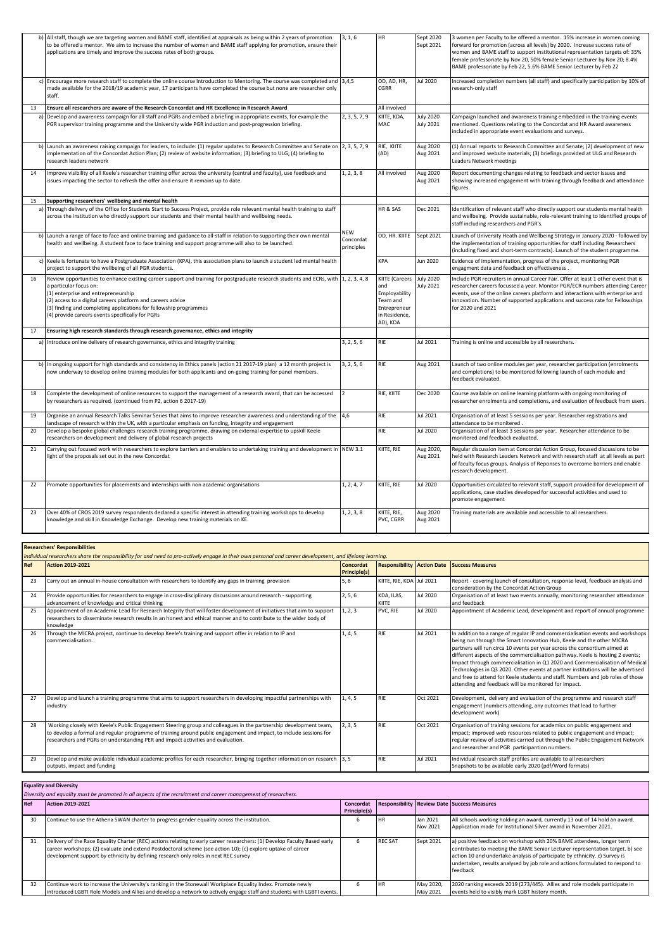|    | b) All staff, though we are targeting women and BAME staff, identified at appraisals as being within 2 years of promotion<br>to be offered a mentor. We aim to increase the number of women and BAME staff applying for promotion, ensure their<br>applications are timely and improve the success rates of both groups.                                                                          | 3, 1, 6                               | <b>HR</b>                                                                                                 | Sept 2020<br>Sept 2021               | 3 women per Faculty to be offered a mentor. 15% increase in women coming<br>forward for promotion (across all levels) by 2020. Increase success rate of<br>women and BAME staff to support institutional representation targets of: 35%<br>female professoriate by Nov 20, 50% female Senior Lecturer by Nov 20; 8.4%<br>BAME professoriate by Feb 22, 5.6% BAME Senior Lecturer by Feb 22 |
|----|---------------------------------------------------------------------------------------------------------------------------------------------------------------------------------------------------------------------------------------------------------------------------------------------------------------------------------------------------------------------------------------------------|---------------------------------------|-----------------------------------------------------------------------------------------------------------|--------------------------------------|--------------------------------------------------------------------------------------------------------------------------------------------------------------------------------------------------------------------------------------------------------------------------------------------------------------------------------------------------------------------------------------------|
|    | c) Encourage more research staff to complete the online course Introduction to Mentoring. The course was completed and $\vert$ 3,4,5<br>made available for the 2018/19 academic year, 17 participants have completed the course but none are researcher only<br>staff.                                                                                                                            |                                       | OD, AD, HR,<br><b>CGRR</b>                                                                                | <b>Jul 2020</b>                      | Increased completion numbers (all staff) and specifically participation by 10% of<br>research-only staff                                                                                                                                                                                                                                                                                   |
| 13 | $\mid$ Ensure all researchers are aware of the Research Concordat and HR Excellence in Research Award                                                                                                                                                                                                                                                                                             |                                       | All involved                                                                                              |                                      |                                                                                                                                                                                                                                                                                                                                                                                            |
|    | a) Develop and awareness campaign for all staff and PGRs and embed a briefing in appropriate events, for example the<br>PGR supervisor training programme and the University wide PGR induction and post-progression briefing.                                                                                                                                                                    | 2, 3, 5, 7, 9                         | KIITE, KDA,<br>MAC                                                                                        | <b>July 2020</b><br><b>July 2021</b> | Campaign launched and awareness training embedded in the training events<br>mentioned. Questions relating to the Concordat and HR Award awareness<br>included in appropriate event evaluations and surveys.                                                                                                                                                                                |
|    | b) Launch an awareness raising campaign for leaders, to include: (1) regular updates to Research Committee and Senate on 2, 3, 5, 7, 9<br>implementation of the Concordat Action Plan; (2) review of website information; (3) briefing to ULG; (4) briefing to<br>research leaders network                                                                                                        |                                       | RIE, KIITE<br>(AD)                                                                                        | Aug 2020<br>Aug 2021                 | (1) Annual reports to Research Committee and Senate; (2) development of new<br>and improved website materials; (3) briefings provided at ULG and Research<br>Leaders Network meetings                                                                                                                                                                                                      |
| 14 | Improve visibility of all Keele's researcher training offer across the university (central and faculty), use feedback and<br>issues impacting the sector to refresh the offer and ensure it remains up to date.                                                                                                                                                                                   | 1, 2, 3, 8                            | All involved                                                                                              | Aug 2020<br>Aug 2021                 | Report documenting changes relating to feedback and sector issues and<br>showing increased engagement with training through feedback and attendance<br>figures.                                                                                                                                                                                                                            |
| 15 | Supporting researchers' wellbeing and mental health                                                                                                                                                                                                                                                                                                                                               |                                       |                                                                                                           |                                      |                                                                                                                                                                                                                                                                                                                                                                                            |
|    | a) Through delivery of the Office for Students Start to Success Project, provide role relevant mental health training to staff<br>across the institution who directly support our students and their mental health and wellbeing needs.                                                                                                                                                           |                                       | HR & SAS                                                                                                  | Dec 2021                             | Identification of relevant staff who directly support our students mental health<br>and wellbeing. Provide sustainable, role-relevant training to identified groups of<br>staff including researchers and PGR's.                                                                                                                                                                           |
|    | b) Launch a range of face to face and online training and guidance to all-staff in relation to supporting their own mental<br>health and wellbeing. A student face to face training and support programme will also to be launched.                                                                                                                                                               | <b>NEW</b><br>Concordat<br>principles | OD, HR. KIITE                                                                                             | Sept 2021                            | Launch of University Heath and Wellbeing Strategy in January 2020 - followed by<br>the implementation of training opportunities for staff including Researchers<br>(including fixed and short-term contracts). Launch of the student programme.                                                                                                                                            |
|    | c) Keele is fortunate to have a Postgraduate Association (KPA), this association plans to launch a student led mental health<br>project to support the wellbeing of all PGR students.                                                                                                                                                                                                             |                                       | <b>KPA</b>                                                                                                | Jun 2020                             | Evidence of implementation, progress of the project, monitoring PGR<br>engagment data and feedback on effectiveness.                                                                                                                                                                                                                                                                       |
| 16 | Review opportunities to enhance existing career support and training for postgraduate research students and ECRs, with 1, 2, 3, 4, 8<br>a particular focus on:<br>(1) enterprise and entrepreneurship<br>$(2)$ access to a digital careers platform and careers advice<br>(3) finding and completing applications for fellowship programmes<br>$(4)$ provide careers events specifically for PGRs |                                       | KIITE (Careers July 2020<br>and<br>Employability<br>Team and<br>Entrepreneur<br>in Residence,<br>AD), KDA | <b>July 2021</b>                     | Include PGR recruiters in annual Career Fair. Offer at least 1 other event that is<br>researcher careers focussed a year. Monitor PGR/ECR numbers attending Career<br>events, use of the online careers platform and interactions with enterprise and<br>innovation. Number of supported applications and success rate for Fellowships<br>for 2020 and 2021                                |
| 17 | Ensuring high research standards through research governance, ethics and integrity                                                                                                                                                                                                                                                                                                                |                                       |                                                                                                           |                                      |                                                                                                                                                                                                                                                                                                                                                                                            |
|    | a) Introduce online delivery of research governance, ethics and integrity training                                                                                                                                                                                                                                                                                                                | 3, 2, 5, 6                            | <b>RIE</b>                                                                                                | Jul 2021                             | Training is online and accessible by all researchers.                                                                                                                                                                                                                                                                                                                                      |
|    | b) In ongoing support for high standards and consistency in Ethics panels (action 21 2017-19 plan) a 12 month project is<br>now underway to develop online training modules for both applicants and on-going training for panel members.                                                                                                                                                          | 3, 2, 5, 6                            | <b>RIE</b>                                                                                                | Aug 2021                             | Launch of two online modules per year, researcher participation (enrolments<br>and completions) to be monitored following launch of each module and<br>feedback evaluated.                                                                                                                                                                                                                 |
| 18 | Complete the development of online resources to support the management of a research award, that can be accessed<br>by researchers as required. (continued from P2, action 6 2017-19)                                                                                                                                                                                                             | $ 2\rangle$                           | RIE, KIITE                                                                                                | Dec 2020                             | Course available on online learning platform with ongoing monitoring of<br>researcher enrolments and completions, and evaluation of feedback from users.                                                                                                                                                                                                                                   |
| 19 | Organise an annual Research Talks Seminar Series that aims to improve researcher awareness and understanding of the 4,6<br>landscape of research within the UK, with a particular emphasis on funding, integrity and engagement                                                                                                                                                                   |                                       | RIE                                                                                                       | Jul 2021                             | Organisation of at least 5 sessions per year. Researcher registrations and<br>attendance to be monitered.                                                                                                                                                                                                                                                                                  |
| 20 | Develop a bespoke global challenges research training programme, drawing on external expertise to upskill Keele<br>researchers on development and delivery of global research projects                                                                                                                                                                                                            |                                       | RIE                                                                                                       | Jul 2020                             | Organisation of at least 3 sessions per year. Researcher attendance to be<br>monitered and feedback evaluated.                                                                                                                                                                                                                                                                             |
| 21 | Carrying out focused work with researchers to explore barriers and enablers to undertaking training and development in   NEW 3.1<br>light of the proposals set out in the new Concordat                                                                                                                                                                                                           |                                       | KIITE, RIE                                                                                                | Aug 2020,<br>Aug 2021                | Regular discussion item at Concordat Action Group, focused discussions to be<br>held with Research Leaders Network and with research staff at all levels as part<br>of faculty focus groups. Analysis of Reponses to overcome barriers and enable<br>research development.                                                                                                                 |
| 22 | Promote opportunities for placements and internships with non academic organisations                                                                                                                                                                                                                                                                                                              | 1, 2, 4, 7                            | KIITE, RIE                                                                                                | Jul 2020                             | Opportunities circulated to relevant staff, support provided for development of<br>applications, case studies developed for successful activities and used to<br>promote engagement                                                                                                                                                                                                        |
| 23 | Over 40% of CROS 2019 survey respondents declared a specific interest in attending training workshops to develop<br>knowledge and skill in Knowledge Exchange. Develop new training materials on KE.                                                                                                                                                                                              | 1, 2, 3, 8                            | KIITE, RIE,<br>PVC, CGRR                                                                                  | Aug 2020<br>Aug 2021                 | Training materials are available and accessible to all researchers.                                                                                                                                                                                                                                                                                                                        |

|     | <b>Researchers' Responsibilities</b>                                                                                                                                                                                                                                                                                       |                                         |                                   |                 |                                                                                                                                                                                                                                                                                                                                                                                                                                                                                                                                                                                                                                        |  |  |  |
|-----|----------------------------------------------------------------------------------------------------------------------------------------------------------------------------------------------------------------------------------------------------------------------------------------------------------------------------|-----------------------------------------|-----------------------------------|-----------------|----------------------------------------------------------------------------------------------------------------------------------------------------------------------------------------------------------------------------------------------------------------------------------------------------------------------------------------------------------------------------------------------------------------------------------------------------------------------------------------------------------------------------------------------------------------------------------------------------------------------------------------|--|--|--|
|     | Individual researchers share the responsibility for and need to pro-actively engage in their own personal and career development, and lifelong learning.                                                                                                                                                                   |                                         |                                   |                 |                                                                                                                                                                                                                                                                                                                                                                                                                                                                                                                                                                                                                                        |  |  |  |
| Ref | Action 2019-2021                                                                                                                                                                                                                                                                                                           | <b>Concordat</b><br><b>Principle(s)</b> | <b>Responsibility Action Date</b> |                 | <b>Success Measures</b>                                                                                                                                                                                                                                                                                                                                                                                                                                                                                                                                                                                                                |  |  |  |
| 23  | Carry out an annual in-house consultation with researchers to identify any gaps in training provision                                                                                                                                                                                                                      | 5,6                                     | KIITE, RIE, KDA Jul 2021          |                 | Report - covering launch of consultation, response level, feedback analysis and<br>consideration by the Concordat Action Group                                                                                                                                                                                                                                                                                                                                                                                                                                                                                                         |  |  |  |
| 24  | Provide opportunities for researchers to engage in cross-disciplinary discussions around research - supporting<br>advancement of knowledge and critical thinking                                                                                                                                                           | 2, 5, 6                                 | KDA, ILAS,<br>KIITE               | <b>Jul 2020</b> | Organisation of at least two events annually, monitoring researcher attendance<br>and feedback                                                                                                                                                                                                                                                                                                                                                                                                                                                                                                                                         |  |  |  |
| 25  | Appointment of an Academic Lead for Research Integrity that will foster development of initiatives that aim to support<br>researchers to disseminate research results in an honest and ethical manner and to contribute to the wider body of<br>knowledge                                                                  | 1, 2, 3                                 | PVC, RIE                          | <b>Jul 2020</b> | Appointment of Academic Lead, development and report of annual programme                                                                                                                                                                                                                                                                                                                                                                                                                                                                                                                                                               |  |  |  |
| 26  | Through the MICRA project, continue to develop Keele's training and support offer in relation to IP and<br>commercialisation.                                                                                                                                                                                              | 1, 4, 5                                 | <b>RIE</b>                        | Jul 2021        | In addition to a range of regular IP and commercialisation events and workshops<br>being run through the Smart Innovation Hub, Keele and the other MICRA<br>partners will run circa 10 events per year across the consortium aimed at<br>different aspects of the commercialisation pathway. Keele is hosting 2 events;<br>Impact through commercialisation in Q1 2020 and Commercialisation of Medical<br>Technologies in Q3 2020. Other events at partner institutions will be advertised<br>and free to attend for Keele students and staff. Numbers and job roles of those<br>attending and feedback will be monitored for impact. |  |  |  |
| 27  | Develop and launch a training programme that aims to support researchers in developing impactful partnerships with<br>industry                                                                                                                                                                                             | 1, 4, 5                                 | <b>RIE</b>                        | Oct 2021        | Development, delivery and evaluation of the programme and research staff<br>engagement (numbers attending, any outcomes that lead to further<br>development work)                                                                                                                                                                                                                                                                                                                                                                                                                                                                      |  |  |  |
| 28  | Working closely with Keele's Public Engagement Steering group and colleagues in the partnership development team,<br>to develop a formal and regular programme of training around public engagement and impact, to include sessions for<br>researchers and PGRs on understanding PER and impact activities and evaluation. | 2, 3, 5                                 | <b>RIE</b>                        | Oct 2021        | Organisation of training sessions for academics on public engagement and<br>impact; improved web resources related to public engagement and impact;<br>regular review of activities carried out through the Public Engagement Network<br>and researcher and PGR participantion numbers.                                                                                                                                                                                                                                                                                                                                                |  |  |  |
| 29  | Develop and make available individual academic profiles for each researcher, bringing together information on research  3, 5<br>outputs, impact and funding                                                                                                                                                                |                                         | <b>RIE</b>                        | Jul 2021        | Individual research staff profiles are available to all researchers<br>Snapshots to be available early 2020 (pdf/Word formats)                                                                                                                                                                                                                                                                                                                                                                                                                                                                                                         |  |  |  |

|            | <b>Equality and Diversity</b>                                                                                                                                                                                                                                                                                                   |                           |                |                       |                                                                                                                                                                                                                                                                                                                                   |  |
|------------|---------------------------------------------------------------------------------------------------------------------------------------------------------------------------------------------------------------------------------------------------------------------------------------------------------------------------------|---------------------------|----------------|-----------------------|-----------------------------------------------------------------------------------------------------------------------------------------------------------------------------------------------------------------------------------------------------------------------------------------------------------------------------------|--|
|            | Diversity and equality must be promoted in all aspects of the recruitment and career management of researchers.                                                                                                                                                                                                                 |                           |                |                       |                                                                                                                                                                                                                                                                                                                                   |  |
| <b>Ref</b> | Action 2019-2021                                                                                                                                                                                                                                                                                                                | Concordat<br>Principle(s) |                |                       | <b>Responsibility   Review Date   Success Measures</b>                                                                                                                                                                                                                                                                            |  |
| 30         | Continue to use the Athena SWAN charter to progress gender equality across the institution.                                                                                                                                                                                                                                     |                           |                | Jan 2021<br>Nov 2021  | All schools working holding an award, currently 13 out of 14 hold an award.<br>Application made for Institutional Silver award in November 2021.                                                                                                                                                                                  |  |
| 31         | Delivery of the Race Equality Charter (REC) actions relating to early career researchers: (1) Develop Faculty Based early<br>career workshops; (2) evaluate and extend Postdoctoral scheme (see action 10); (c) explore uptake of career<br>development support by ethnicity by defining research only roles in next REC survey | 6                         | <b>REC SAT</b> | Sept 2021             | a) positive feedback on workshop with 20% BAME attendees, longer term<br>contributes to meeting the BAME Senior Lecturer representation target. b) see<br>action 10 and undertake analysis of participate by ethnicity. c) Survey is<br>undertaken, results analysed by job role and actions formulated to respond to<br>feedback |  |
| 32         | Continue work to increase the University's ranking in the Stonewall Workplace Equality Index. Promote newly<br>introduced LGBTI Role Models and Allies and develop a network to actively engage staff and students with LGBTI events.                                                                                           |                           |                | May 2020,<br>May 2021 | 2020 ranking exceeds 2019 (273/445). Allies and role models participate in<br>events held to visibly mark LGBT history month.                                                                                                                                                                                                     |  |